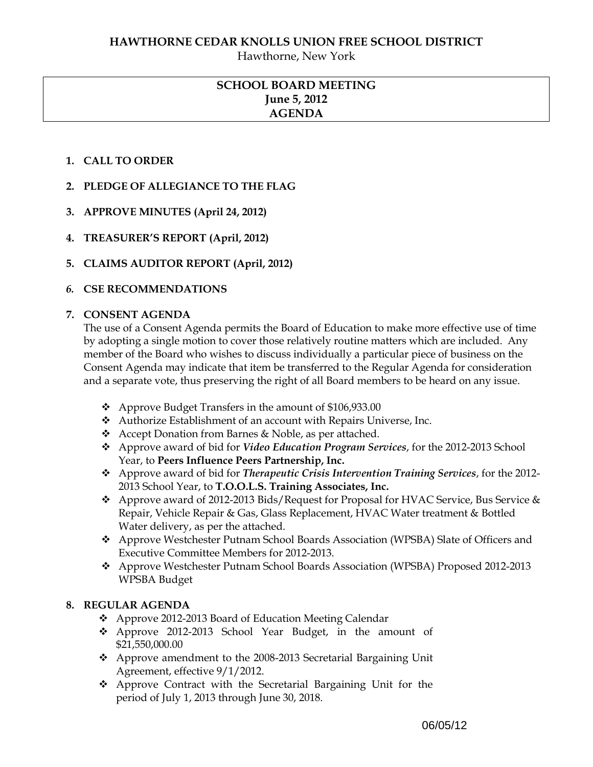Hawthorne, New York

# **SCHOOL BOARD MEETING June 5, 2012 AGENDA**

## **1. CALL TO ORDER**

- **2. PLEDGE OF ALLEGIANCE TO THE FLAG**
- **3. APPROVE MINUTES (April 24, 2012)**
- **4. TREASURER'S REPORT (April, 2012)**
- **5. CLAIMS AUDITOR REPORT (April, 2012)**

## *6.* **CSE RECOMMENDATIONS**

#### **7. CONSENT AGENDA**

The use of a Consent Agenda permits the Board of Education to make more effective use of time by adopting a single motion to cover those relatively routine matters which are included. Any member of the Board who wishes to discuss individually a particular piece of business on the Consent Agenda may indicate that item be transferred to the Regular Agenda for consideration and a separate vote, thus preserving the right of all Board members to be heard on any issue.

- ❖ Approve Budget Transfers in the amount of \$106,933.00
- Authorize Establishment of an account with Repairs Universe, Inc.
- Accept Donation from Barnes & Noble, as per attached.
- Approve award of bid for *Video Education Program Services*, for the 2012-2013 School Year, to **Peers Influence Peers Partnership, Inc.**
- Approve award of bid for *Therapeutic Crisis Intervention Training Services*, for the 2012- 2013 School Year, to **T.O.O.L.S. Training Associates, Inc.**
- Approve award of 2012-2013 Bids/Request for Proposal for HVAC Service, Bus Service & Repair, Vehicle Repair & Gas, Glass Replacement, HVAC Water treatment & Bottled Water delivery, as per the attached.
- Approve Westchester Putnam School Boards Association (WPSBA) Slate of Officers and Executive Committee Members for 2012-2013.
- Approve Westchester Putnam School Boards Association (WPSBA) Proposed 2012-2013 WPSBA Budget

## **8. REGULAR AGENDA**

- Approve 2012-2013 Board of Education Meeting Calendar
- Approve 2012-2013 School Year Budget, in the amount of \$21,550,000.00
- Approve amendment to the 2008-2013 Secretarial Bargaining Unit Agreement, effective 9/1/2012.
- Approve Contract with the Secretarial Bargaining Unit for the period of July 1, 2013 through June 30, 2018.